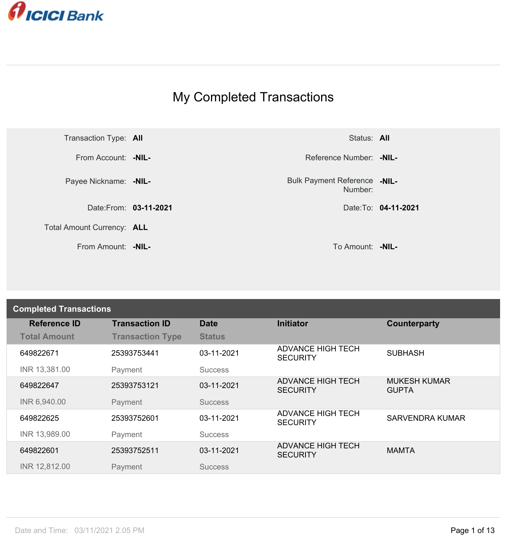

## My Completed Transactions



Number: **-NIL-**

From Amount: **-NIL-** To Amount: **-NIL-**

| <b>Completed Transactions</b> |                         |                |                                             |                                     |  |
|-------------------------------|-------------------------|----------------|---------------------------------------------|-------------------------------------|--|
| <b>Reference ID</b>           | <b>Transaction ID</b>   | <b>Date</b>    | <b>Initiator</b>                            | Counterparty                        |  |
| <b>Total Amount</b>           | <b>Transaction Type</b> | <b>Status</b>  |                                             |                                     |  |
| 649822671                     | 25393753441             | 03-11-2021     | <b>ADVANCE HIGH TECH</b><br><b>SECURITY</b> | <b>SUBHASH</b>                      |  |
| INR 13,381.00                 | Payment                 | <b>Success</b> |                                             |                                     |  |
| 649822647                     | 25393753121             | 03-11-2021     | <b>ADVANCE HIGH TECH</b><br><b>SECURITY</b> | <b>MUKESH KUMAR</b><br><b>GUPTA</b> |  |
| INR 6,940.00                  | Payment                 | <b>Success</b> |                                             |                                     |  |
| 649822625                     | 25393752601             | 03-11-2021     | <b>ADVANCE HIGH TECH</b><br><b>SECURITY</b> | <b>SARVENDRA KUMAR</b>              |  |
| INR 13,989.00                 | Payment                 | <b>Success</b> |                                             |                                     |  |
| 649822601                     | 25393752511             | 03-11-2021     | <b>ADVANCE HIGH TECH</b><br><b>SECURITY</b> | <b>MAMTA</b>                        |  |
| INR 12,812.00                 | Payment                 | <b>Success</b> |                                             |                                     |  |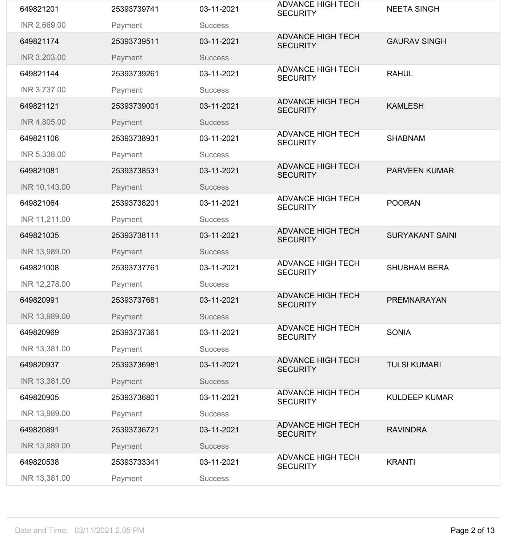| 649821201     | 25393739741 | 03-11-2021     | <b>ADVANCE HIGH TECH</b><br><b>SECURITY</b> | <b>NEETA SINGH</b>     |
|---------------|-------------|----------------|---------------------------------------------|------------------------|
| INR 2,669.00  | Payment     | <b>Success</b> |                                             |                        |
| 649821174     | 25393739511 | 03-11-2021     | <b>ADVANCE HIGH TECH</b><br><b>SECURITY</b> | <b>GAURAV SINGH</b>    |
| INR 3,203.00  | Payment     | <b>Success</b> |                                             |                        |
| 649821144     | 25393739261 | 03-11-2021     | <b>ADVANCE HIGH TECH</b><br><b>SECURITY</b> | <b>RAHUL</b>           |
| INR 3,737.00  | Payment     | <b>Success</b> |                                             |                        |
| 649821121     | 25393739001 | 03-11-2021     | <b>ADVANCE HIGH TECH</b><br><b>SECURITY</b> | <b>KAMLESH</b>         |
| INR 4,805.00  | Payment     | <b>Success</b> |                                             |                        |
| 649821106     | 25393738931 | 03-11-2021     | <b>ADVANCE HIGH TECH</b><br><b>SECURITY</b> | <b>SHABNAM</b>         |
| INR 5,338.00  | Payment     | <b>Success</b> |                                             |                        |
| 649821081     | 25393738531 | 03-11-2021     | <b>ADVANCE HIGH TECH</b><br><b>SECURITY</b> | <b>PARVEEN KUMAR</b>   |
| INR 10,143.00 | Payment     | <b>Success</b> |                                             |                        |
| 649821064     | 25393738201 | 03-11-2021     | <b>ADVANCE HIGH TECH</b><br><b>SECURITY</b> | <b>POORAN</b>          |
| INR 11,211.00 | Payment     | <b>Success</b> |                                             |                        |
| 649821035     | 25393738111 | 03-11-2021     | <b>ADVANCE HIGH TECH</b><br><b>SECURITY</b> | <b>SURYAKANT SAINI</b> |
| INR 13,989.00 | Payment     | <b>Success</b> |                                             |                        |
| 649821008     | 25393737761 | 03-11-2021     | <b>ADVANCE HIGH TECH</b><br><b>SECURITY</b> | <b>SHUBHAM BERA</b>    |
| INR 12,278.00 | Payment     | <b>Success</b> |                                             |                        |
| 649820991     | 25393737681 | 03-11-2021     | <b>ADVANCE HIGH TECH</b><br><b>SECURITY</b> | <b>PREMNARAYAN</b>     |
| INR 13,989.00 | Payment     | <b>Success</b> |                                             |                        |
| 649820969     | 25393737361 | 03-11-2021     | <b>ADVANCE HIGH TECH</b><br><b>SECURITY</b> | <b>SONIA</b>           |
| INR 13,381.00 | Payment     | <b>Success</b> |                                             |                        |
| 649820937     | 25393736981 | 03-11-2021     | <b>ADVANCE HIGH TECH</b><br><b>SECURITY</b> | <b>TULSI KUMARI</b>    |
| INR 13,381.00 | Payment     | <b>Success</b> |                                             |                        |
| 649820905     | 25393736801 | 03-11-2021     | <b>ADVANCE HIGH TECH</b><br><b>SECURITY</b> | <b>KULDEEP KUMAR</b>   |
| INR 13,989.00 | Payment     | <b>Success</b> |                                             |                        |
| 649820891     | 25393736721 | 03-11-2021     | <b>ADVANCE HIGH TECH</b><br><b>SECURITY</b> | <b>RAVINDRA</b>        |
| INR 13,989.00 | Payment     | <b>Success</b> |                                             |                        |
| 649820538     | 25393733341 | 03-11-2021     | <b>ADVANCE HIGH TECH</b><br><b>SECURITY</b> | <b>KRANTI</b>          |
| INR 13,381.00 | Payment     | <b>Success</b> |                                             |                        |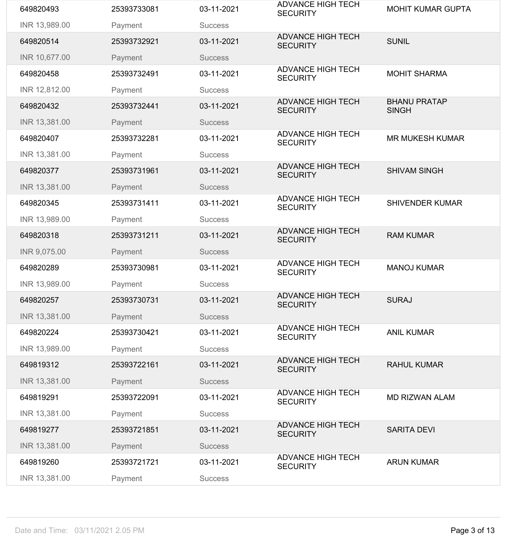| 649820493     | 25393733081 | 03-11-2021     | <b>ADVANCE HIGH TECH</b><br><b>SECURITY</b> | <b>MOHIT KUMAR GUPTA</b>            |
|---------------|-------------|----------------|---------------------------------------------|-------------------------------------|
| INR 13,989.00 | Payment     | <b>Success</b> |                                             |                                     |
| 649820514     | 25393732921 | 03-11-2021     | <b>ADVANCE HIGH TECH</b><br><b>SECURITY</b> | <b>SUNIL</b>                        |
| INR 10,677.00 | Payment     | <b>Success</b> |                                             |                                     |
| 649820458     | 25393732491 | 03-11-2021     | <b>ADVANCE HIGH TECH</b><br><b>SECURITY</b> | <b>MOHIT SHARMA</b>                 |
| INR 12,812.00 | Payment     | <b>Success</b> |                                             |                                     |
| 649820432     | 25393732441 | 03-11-2021     | <b>ADVANCE HIGH TECH</b><br><b>SECURITY</b> | <b>BHANU PRATAP</b><br><b>SINGH</b> |
| INR 13,381.00 | Payment     | <b>Success</b> |                                             |                                     |
| 649820407     | 25393732281 | 03-11-2021     | <b>ADVANCE HIGH TECH</b><br><b>SECURITY</b> | <b>MR MUKESH KUMAR</b>              |
| INR 13,381.00 | Payment     | <b>Success</b> |                                             |                                     |
| 649820377     | 25393731961 | 03-11-2021     | <b>ADVANCE HIGH TECH</b><br><b>SECURITY</b> | <b>SHIVAM SINGH</b>                 |
| INR 13,381.00 | Payment     | <b>Success</b> |                                             |                                     |
| 649820345     | 25393731411 | 03-11-2021     | <b>ADVANCE HIGH TECH</b><br><b>SECURITY</b> | <b>SHIVENDER KUMAR</b>              |
| INR 13,989.00 | Payment     | <b>Success</b> |                                             |                                     |
| 649820318     | 25393731211 | 03-11-2021     | <b>ADVANCE HIGH TECH</b><br><b>SECURITY</b> | <b>RAM KUMAR</b>                    |
| INR 9,075.00  | Payment     | <b>Success</b> |                                             |                                     |
| 649820289     | 25393730981 | 03-11-2021     | <b>ADVANCE HIGH TECH</b><br><b>SECURITY</b> | <b>MANOJ KUMAR</b>                  |
| INR 13,989.00 | Payment     | <b>Success</b> |                                             |                                     |
| 649820257     | 25393730731 | 03-11-2021     | <b>ADVANCE HIGH TECH</b><br><b>SECURITY</b> | <b>SURAJ</b>                        |
| INR 13,381.00 | Payment     | <b>Success</b> |                                             |                                     |
| 649820224     | 25393730421 | 03-11-2021     | <b>ADVANCE HIGH TECH</b><br><b>SECURITY</b> | <b>ANIL KUMAR</b>                   |
| INR 13,989.00 | Payment     | <b>Success</b> |                                             |                                     |
| 649819312     | 25393722161 | 03-11-2021     | <b>ADVANCE HIGH TECH</b><br><b>SECURITY</b> | <b>RAHUL KUMAR</b>                  |
| INR 13,381.00 | Payment     | <b>Success</b> |                                             |                                     |
| 649819291     | 25393722091 | 03-11-2021     | <b>ADVANCE HIGH TECH</b><br><b>SECURITY</b> | <b>MD RIZWAN ALAM</b>               |
| INR 13,381.00 | Payment     | <b>Success</b> |                                             |                                     |
| 649819277     | 25393721851 | 03-11-2021     | <b>ADVANCE HIGH TECH</b><br><b>SECURITY</b> | <b>SARITA DEVI</b>                  |
|               |             |                |                                             |                                     |
| INR 13,381.00 | Payment     | <b>Success</b> |                                             |                                     |
| 649819260     | 25393721721 | 03-11-2021     | <b>ADVANCE HIGH TECH</b><br><b>SECURITY</b> | <b>ARUN KUMAR</b>                   |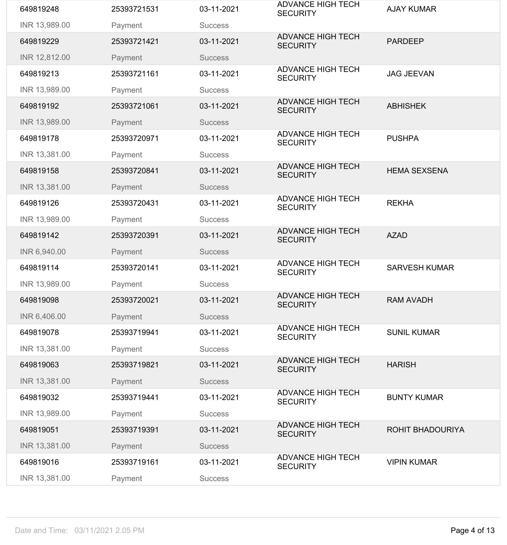| INR 13,989.00<br>Payment<br><b>Success</b><br><b>ADVANCE HIGH TECH</b><br>03-11-2021<br><b>PARDEEP</b><br>649819229<br>25393721421<br><b>SECURITY</b><br>INR 12,812.00<br>Payment<br><b>Success</b><br><b>ADVANCE HIGH TECH</b><br>25393721161<br>03-11-2021<br><b>JAG JEEVAN</b><br>649819213<br><b>SECURITY</b><br>INR 13,989.00<br>Payment<br><b>Success</b><br><b>ADVANCE HIGH TECH</b><br>03-11-2021<br>649819192<br>25393721061<br><b>ABHISHEK</b><br><b>SECURITY</b><br>INR 13,989.00<br>Payment<br><b>Success</b><br><b>ADVANCE HIGH TECH</b><br>03-11-2021<br><b>PUSHPA</b><br>649819178<br>25393720971<br><b>SECURITY</b><br>INR 13,381.00<br>Payment<br><b>Success</b><br><b>ADVANCE HIGH TECH</b><br>03-11-2021<br>649819158<br>25393720841<br><b>HEMA SEXSENA</b><br><b>SECURITY</b><br>INR 13,381.00<br>Payment<br><b>Success</b><br><b>ADVANCE HIGH TECH</b><br><b>REKHA</b><br>03-11-2021<br>649819126<br>25393720431<br><b>SECURITY</b><br>INR 13,989.00<br>Payment<br><b>Success</b><br><b>ADVANCE HIGH TECH</b><br>03-11-2021<br><b>AZAD</b><br>649819142<br>25393720391<br><b>SECURITY</b><br>INR 6,940.00<br>Payment<br><b>Success</b><br><b>ADVANCE HIGH TECH</b><br>03-11-2021<br><b>SARVESH KUMAR</b><br>649819114<br>25393720141<br><b>SECURITY</b><br>INR 13,989.00<br>Payment<br><b>Success</b><br><b>ADVANCE HIGH TECH</b><br>03-11-2021<br>649819098<br>25393720021<br><b>RAM AVADH</b><br><b>SECURITY</b><br>INR 6,406.00<br>Payment<br><b>Success</b><br><b>ADVANCE HIGH TECH</b><br>03-11-2021<br><b>SUNIL KUMAR</b><br>649819078<br>25393719941<br><b>SECURITY</b><br>INR 13,381.00<br>Payment<br><b>Success</b><br><b>ADVANCE HIGH TECH</b><br>649819063<br>03-11-2021<br><b>HARISH</b><br>25393719821<br><b>SECURITY</b><br>INR 13,381.00<br>Payment<br><b>Success</b><br><b>ADVANCE HIGH TECH</b><br>03-11-2021<br><b>BUNTY KUMAR</b><br>649819032<br>25393719441<br><b>SECURITY</b><br>INR 13,989.00<br>Payment<br><b>Success</b><br><b>ADVANCE HIGH TECH</b><br>649819051<br>25393719391<br>03-11-2021<br><b>ROHIT BHADOURIYA</b><br><b>SECURITY</b><br>INR 13,381.00<br>Payment<br><b>Success</b><br><b>ADVANCE HIGH TECH</b><br>649819016<br>03-11-2021<br><b>VIPIN KUMAR</b><br>25393719161<br><b>SECURITY</b><br>INR 13,381.00<br>Payment<br><b>Success</b> | 649819248 | 25393721531 | 03-11-2021 | <b>ADVANCE HIGH TECH</b><br><b>SECURITY</b> | <b>AJAY KUMAR</b> |
|-------------------------------------------------------------------------------------------------------------------------------------------------------------------------------------------------------------------------------------------------------------------------------------------------------------------------------------------------------------------------------------------------------------------------------------------------------------------------------------------------------------------------------------------------------------------------------------------------------------------------------------------------------------------------------------------------------------------------------------------------------------------------------------------------------------------------------------------------------------------------------------------------------------------------------------------------------------------------------------------------------------------------------------------------------------------------------------------------------------------------------------------------------------------------------------------------------------------------------------------------------------------------------------------------------------------------------------------------------------------------------------------------------------------------------------------------------------------------------------------------------------------------------------------------------------------------------------------------------------------------------------------------------------------------------------------------------------------------------------------------------------------------------------------------------------------------------------------------------------------------------------------------------------------------------------------------------------------------------------------------------------------------------------------------------------------------------------------------------------------------------------------------------------------------------------------------------------------------------------------------------------------------------------------------------|-----------|-------------|------------|---------------------------------------------|-------------------|
|                                                                                                                                                                                                                                                                                                                                                                                                                                                                                                                                                                                                                                                                                                                                                                                                                                                                                                                                                                                                                                                                                                                                                                                                                                                                                                                                                                                                                                                                                                                                                                                                                                                                                                                                                                                                                                                                                                                                                                                                                                                                                                                                                                                                                                                                                                       |           |             |            |                                             |                   |
|                                                                                                                                                                                                                                                                                                                                                                                                                                                                                                                                                                                                                                                                                                                                                                                                                                                                                                                                                                                                                                                                                                                                                                                                                                                                                                                                                                                                                                                                                                                                                                                                                                                                                                                                                                                                                                                                                                                                                                                                                                                                                                                                                                                                                                                                                                       |           |             |            |                                             |                   |
|                                                                                                                                                                                                                                                                                                                                                                                                                                                                                                                                                                                                                                                                                                                                                                                                                                                                                                                                                                                                                                                                                                                                                                                                                                                                                                                                                                                                                                                                                                                                                                                                                                                                                                                                                                                                                                                                                                                                                                                                                                                                                                                                                                                                                                                                                                       |           |             |            |                                             |                   |
|                                                                                                                                                                                                                                                                                                                                                                                                                                                                                                                                                                                                                                                                                                                                                                                                                                                                                                                                                                                                                                                                                                                                                                                                                                                                                                                                                                                                                                                                                                                                                                                                                                                                                                                                                                                                                                                                                                                                                                                                                                                                                                                                                                                                                                                                                                       |           |             |            |                                             |                   |
|                                                                                                                                                                                                                                                                                                                                                                                                                                                                                                                                                                                                                                                                                                                                                                                                                                                                                                                                                                                                                                                                                                                                                                                                                                                                                                                                                                                                                                                                                                                                                                                                                                                                                                                                                                                                                                                                                                                                                                                                                                                                                                                                                                                                                                                                                                       |           |             |            |                                             |                   |
|                                                                                                                                                                                                                                                                                                                                                                                                                                                                                                                                                                                                                                                                                                                                                                                                                                                                                                                                                                                                                                                                                                                                                                                                                                                                                                                                                                                                                                                                                                                                                                                                                                                                                                                                                                                                                                                                                                                                                                                                                                                                                                                                                                                                                                                                                                       |           |             |            |                                             |                   |
|                                                                                                                                                                                                                                                                                                                                                                                                                                                                                                                                                                                                                                                                                                                                                                                                                                                                                                                                                                                                                                                                                                                                                                                                                                                                                                                                                                                                                                                                                                                                                                                                                                                                                                                                                                                                                                                                                                                                                                                                                                                                                                                                                                                                                                                                                                       |           |             |            |                                             |                   |
|                                                                                                                                                                                                                                                                                                                                                                                                                                                                                                                                                                                                                                                                                                                                                                                                                                                                                                                                                                                                                                                                                                                                                                                                                                                                                                                                                                                                                                                                                                                                                                                                                                                                                                                                                                                                                                                                                                                                                                                                                                                                                                                                                                                                                                                                                                       |           |             |            |                                             |                   |
|                                                                                                                                                                                                                                                                                                                                                                                                                                                                                                                                                                                                                                                                                                                                                                                                                                                                                                                                                                                                                                                                                                                                                                                                                                                                                                                                                                                                                                                                                                                                                                                                                                                                                                                                                                                                                                                                                                                                                                                                                                                                                                                                                                                                                                                                                                       |           |             |            |                                             |                   |
|                                                                                                                                                                                                                                                                                                                                                                                                                                                                                                                                                                                                                                                                                                                                                                                                                                                                                                                                                                                                                                                                                                                                                                                                                                                                                                                                                                                                                                                                                                                                                                                                                                                                                                                                                                                                                                                                                                                                                                                                                                                                                                                                                                                                                                                                                                       |           |             |            |                                             |                   |
|                                                                                                                                                                                                                                                                                                                                                                                                                                                                                                                                                                                                                                                                                                                                                                                                                                                                                                                                                                                                                                                                                                                                                                                                                                                                                                                                                                                                                                                                                                                                                                                                                                                                                                                                                                                                                                                                                                                                                                                                                                                                                                                                                                                                                                                                                                       |           |             |            |                                             |                   |
|                                                                                                                                                                                                                                                                                                                                                                                                                                                                                                                                                                                                                                                                                                                                                                                                                                                                                                                                                                                                                                                                                                                                                                                                                                                                                                                                                                                                                                                                                                                                                                                                                                                                                                                                                                                                                                                                                                                                                                                                                                                                                                                                                                                                                                                                                                       |           |             |            |                                             |                   |
|                                                                                                                                                                                                                                                                                                                                                                                                                                                                                                                                                                                                                                                                                                                                                                                                                                                                                                                                                                                                                                                                                                                                                                                                                                                                                                                                                                                                                                                                                                                                                                                                                                                                                                                                                                                                                                                                                                                                                                                                                                                                                                                                                                                                                                                                                                       |           |             |            |                                             |                   |
|                                                                                                                                                                                                                                                                                                                                                                                                                                                                                                                                                                                                                                                                                                                                                                                                                                                                                                                                                                                                                                                                                                                                                                                                                                                                                                                                                                                                                                                                                                                                                                                                                                                                                                                                                                                                                                                                                                                                                                                                                                                                                                                                                                                                                                                                                                       |           |             |            |                                             |                   |
|                                                                                                                                                                                                                                                                                                                                                                                                                                                                                                                                                                                                                                                                                                                                                                                                                                                                                                                                                                                                                                                                                                                                                                                                                                                                                                                                                                                                                                                                                                                                                                                                                                                                                                                                                                                                                                                                                                                                                                                                                                                                                                                                                                                                                                                                                                       |           |             |            |                                             |                   |
|                                                                                                                                                                                                                                                                                                                                                                                                                                                                                                                                                                                                                                                                                                                                                                                                                                                                                                                                                                                                                                                                                                                                                                                                                                                                                                                                                                                                                                                                                                                                                                                                                                                                                                                                                                                                                                                                                                                                                                                                                                                                                                                                                                                                                                                                                                       |           |             |            |                                             |                   |
|                                                                                                                                                                                                                                                                                                                                                                                                                                                                                                                                                                                                                                                                                                                                                                                                                                                                                                                                                                                                                                                                                                                                                                                                                                                                                                                                                                                                                                                                                                                                                                                                                                                                                                                                                                                                                                                                                                                                                                                                                                                                                                                                                                                                                                                                                                       |           |             |            |                                             |                   |
|                                                                                                                                                                                                                                                                                                                                                                                                                                                                                                                                                                                                                                                                                                                                                                                                                                                                                                                                                                                                                                                                                                                                                                                                                                                                                                                                                                                                                                                                                                                                                                                                                                                                                                                                                                                                                                                                                                                                                                                                                                                                                                                                                                                                                                                                                                       |           |             |            |                                             |                   |
|                                                                                                                                                                                                                                                                                                                                                                                                                                                                                                                                                                                                                                                                                                                                                                                                                                                                                                                                                                                                                                                                                                                                                                                                                                                                                                                                                                                                                                                                                                                                                                                                                                                                                                                                                                                                                                                                                                                                                                                                                                                                                                                                                                                                                                                                                                       |           |             |            |                                             |                   |
|                                                                                                                                                                                                                                                                                                                                                                                                                                                                                                                                                                                                                                                                                                                                                                                                                                                                                                                                                                                                                                                                                                                                                                                                                                                                                                                                                                                                                                                                                                                                                                                                                                                                                                                                                                                                                                                                                                                                                                                                                                                                                                                                                                                                                                                                                                       |           |             |            |                                             |                   |
|                                                                                                                                                                                                                                                                                                                                                                                                                                                                                                                                                                                                                                                                                                                                                                                                                                                                                                                                                                                                                                                                                                                                                                                                                                                                                                                                                                                                                                                                                                                                                                                                                                                                                                                                                                                                                                                                                                                                                                                                                                                                                                                                                                                                                                                                                                       |           |             |            |                                             |                   |
|                                                                                                                                                                                                                                                                                                                                                                                                                                                                                                                                                                                                                                                                                                                                                                                                                                                                                                                                                                                                                                                                                                                                                                                                                                                                                                                                                                                                                                                                                                                                                                                                                                                                                                                                                                                                                                                                                                                                                                                                                                                                                                                                                                                                                                                                                                       |           |             |            |                                             |                   |
|                                                                                                                                                                                                                                                                                                                                                                                                                                                                                                                                                                                                                                                                                                                                                                                                                                                                                                                                                                                                                                                                                                                                                                                                                                                                                                                                                                                                                                                                                                                                                                                                                                                                                                                                                                                                                                                                                                                                                                                                                                                                                                                                                                                                                                                                                                       |           |             |            |                                             |                   |
|                                                                                                                                                                                                                                                                                                                                                                                                                                                                                                                                                                                                                                                                                                                                                                                                                                                                                                                                                                                                                                                                                                                                                                                                                                                                                                                                                                                                                                                                                                                                                                                                                                                                                                                                                                                                                                                                                                                                                                                                                                                                                                                                                                                                                                                                                                       |           |             |            |                                             |                   |
|                                                                                                                                                                                                                                                                                                                                                                                                                                                                                                                                                                                                                                                                                                                                                                                                                                                                                                                                                                                                                                                                                                                                                                                                                                                                                                                                                                                                                                                                                                                                                                                                                                                                                                                                                                                                                                                                                                                                                                                                                                                                                                                                                                                                                                                                                                       |           |             |            |                                             |                   |
|                                                                                                                                                                                                                                                                                                                                                                                                                                                                                                                                                                                                                                                                                                                                                                                                                                                                                                                                                                                                                                                                                                                                                                                                                                                                                                                                                                                                                                                                                                                                                                                                                                                                                                                                                                                                                                                                                                                                                                                                                                                                                                                                                                                                                                                                                                       |           |             |            |                                             |                   |
|                                                                                                                                                                                                                                                                                                                                                                                                                                                                                                                                                                                                                                                                                                                                                                                                                                                                                                                                                                                                                                                                                                                                                                                                                                                                                                                                                                                                                                                                                                                                                                                                                                                                                                                                                                                                                                                                                                                                                                                                                                                                                                                                                                                                                                                                                                       |           |             |            |                                             |                   |
|                                                                                                                                                                                                                                                                                                                                                                                                                                                                                                                                                                                                                                                                                                                                                                                                                                                                                                                                                                                                                                                                                                                                                                                                                                                                                                                                                                                                                                                                                                                                                                                                                                                                                                                                                                                                                                                                                                                                                                                                                                                                                                                                                                                                                                                                                                       |           |             |            |                                             |                   |
|                                                                                                                                                                                                                                                                                                                                                                                                                                                                                                                                                                                                                                                                                                                                                                                                                                                                                                                                                                                                                                                                                                                                                                                                                                                                                                                                                                                                                                                                                                                                                                                                                                                                                                                                                                                                                                                                                                                                                                                                                                                                                                                                                                                                                                                                                                       |           |             |            |                                             |                   |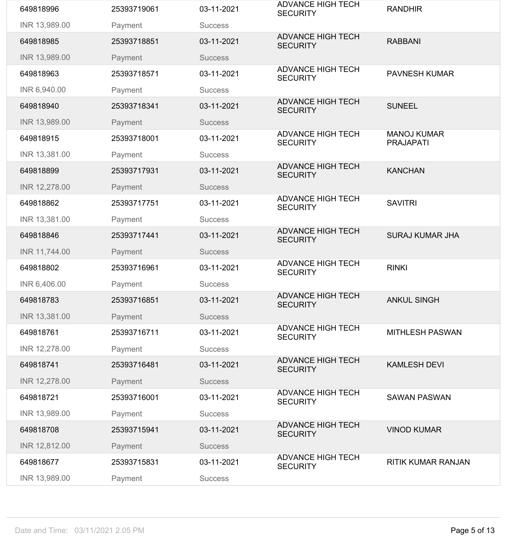| 649818996     | 25393719061 | 03-11-2021     | <b>ADVANCE HIGH TECH</b><br><b>SECURITY</b> | <b>RANDHIR</b>                         |
|---------------|-------------|----------------|---------------------------------------------|----------------------------------------|
| INR 13,989.00 | Payment     | <b>Success</b> |                                             |                                        |
| 649818985     | 25393718851 | 03-11-2021     | <b>ADVANCE HIGH TECH</b><br><b>SECURITY</b> | <b>RABBANI</b>                         |
| INR 13,989.00 | Payment     | <b>Success</b> |                                             |                                        |
| 649818963     | 25393718571 | 03-11-2021     | <b>ADVANCE HIGH TECH</b><br><b>SECURITY</b> | <b>PAVNESH KUMAR</b>                   |
| INR 6,940.00  | Payment     | <b>Success</b> |                                             |                                        |
| 649818940     | 25393718341 | 03-11-2021     | <b>ADVANCE HIGH TECH</b><br><b>SECURITY</b> | <b>SUNEEL</b>                          |
| INR 13,989.00 | Payment     | <b>Success</b> |                                             |                                        |
| 649818915     | 25393718001 | 03-11-2021     | <b>ADVANCE HIGH TECH</b><br><b>SECURITY</b> | <b>MANOJ KUMAR</b><br><b>PRAJAPATI</b> |
| INR 13,381.00 | Payment     | <b>Success</b> |                                             |                                        |
| 649818899     | 25393717931 | 03-11-2021     | <b>ADVANCE HIGH TECH</b><br><b>SECURITY</b> | <b>KANCHAN</b>                         |
| INR 12,278.00 | Payment     | <b>Success</b> |                                             |                                        |
| 649818862     | 25393717751 | 03-11-2021     | <b>ADVANCE HIGH TECH</b><br><b>SECURITY</b> | <b>SAVITRI</b>                         |
| INR 13,381.00 | Payment     | <b>Success</b> |                                             |                                        |
| 649818846     | 25393717441 | 03-11-2021     | <b>ADVANCE HIGH TECH</b><br><b>SECURITY</b> | <b>SURAJ KUMAR JHA</b>                 |
| INR 11,744.00 | Payment     | <b>Success</b> |                                             |                                        |
| 649818802     | 25393716961 | 03-11-2021     | <b>ADVANCE HIGH TECH</b><br><b>SECURITY</b> | <b>RINKI</b>                           |
| INR 6,406.00  | Payment     | <b>Success</b> |                                             |                                        |
| 649818783     | 25393716851 | 03-11-2021     | <b>ADVANCE HIGH TECH</b><br><b>SECURITY</b> | <b>ANKUL SINGH</b>                     |
| INR 13,381.00 | Payment     | <b>Success</b> |                                             |                                        |
| 649818761     | 25393716711 | 03-11-2021     | <b>ADVANCE HIGH TECH</b><br><b>SECURITY</b> | <b>MITHLESH PASWAN</b>                 |
| INR 12,278.00 | Payment     | <b>Success</b> |                                             |                                        |
| 649818741     | 25393716481 | 03-11-2021     | <b>ADVANCE HIGH TECH</b><br><b>SECURITY</b> | <b>KAMLESH DEVI</b>                    |
| INR 12,278.00 | Payment     | <b>Success</b> |                                             |                                        |
| 649818721     | 25393716001 | 03-11-2021     | <b>ADVANCE HIGH TECH</b><br><b>SECURITY</b> | <b>SAWAN PASWAN</b>                    |
| INR 13,989.00 | Payment     | <b>Success</b> |                                             |                                        |
| 649818708     | 25393715941 | 03-11-2021     | <b>ADVANCE HIGH TECH</b><br><b>SECURITY</b> | <b>VINOD KUMAR</b>                     |
| INR 12,812.00 | Payment     | <b>Success</b> |                                             |                                        |
| 649818677     | 25393715831 | 03-11-2021     | <b>ADVANCE HIGH TECH</b><br><b>SECURITY</b> | <b>RITIK KUMAR RANJAN</b>              |
| INR 13,989.00 | Payment     | <b>Success</b> |                                             |                                        |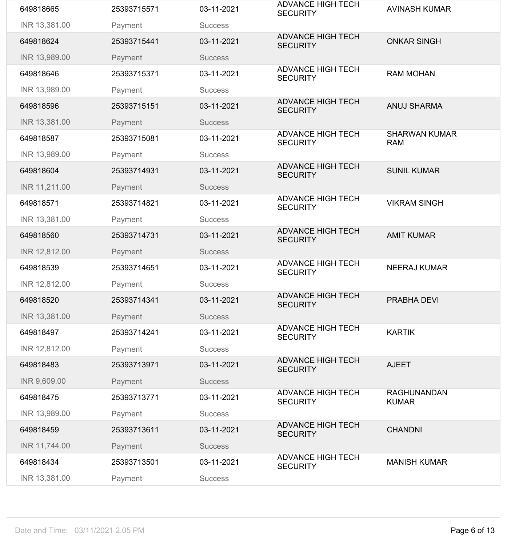| 649818665     | 25393715571 | 03-11-2021     | <b>ADVANCE HIGH TECH</b><br><b>SECURITY</b> | <b>AVINASH KUMAR</b>               |
|---------------|-------------|----------------|---------------------------------------------|------------------------------------|
| INR 13,381.00 | Payment     | <b>Success</b> |                                             |                                    |
| 649818624     | 25393715441 | 03-11-2021     | <b>ADVANCE HIGH TECH</b><br><b>SECURITY</b> | <b>ONKAR SINGH</b>                 |
| INR 13,989.00 | Payment     | <b>Success</b> |                                             |                                    |
| 649818646     | 25393715371 | 03-11-2021     | <b>ADVANCE HIGH TECH</b><br><b>SECURITY</b> | <b>RAM MOHAN</b>                   |
| INR 13,989.00 | Payment     | <b>Success</b> |                                             |                                    |
| 649818596     | 25393715151 | 03-11-2021     | <b>ADVANCE HIGH TECH</b><br><b>SECURITY</b> | <b>ANUJ SHARMA</b>                 |
| INR 13,381.00 | Payment     | <b>Success</b> |                                             |                                    |
| 649818587     | 25393715081 | 03-11-2021     | <b>ADVANCE HIGH TECH</b><br><b>SECURITY</b> | <b>SHARWAN KUMAR</b><br><b>RAM</b> |
| INR 13,989.00 | Payment     | <b>Success</b> |                                             |                                    |
| 649818604     | 25393714931 | 03-11-2021     | <b>ADVANCE HIGH TECH</b><br><b>SECURITY</b> | <b>SUNIL KUMAR</b>                 |
| INR 11,211.00 | Payment     | <b>Success</b> |                                             |                                    |
| 649818571     | 25393714821 | 03-11-2021     | <b>ADVANCE HIGH TECH</b><br><b>SECURITY</b> | <b>VIKRAM SINGH</b>                |
| INR 13,381.00 | Payment     | <b>Success</b> |                                             |                                    |
| 649818560     | 25393714731 | 03-11-2021     | <b>ADVANCE HIGH TECH</b><br><b>SECURITY</b> | <b>AMIT KUMAR</b>                  |
| INR 12,812.00 | Payment     | <b>Success</b> |                                             |                                    |
| 649818539     | 25393714651 | 03-11-2021     | <b>ADVANCE HIGH TECH</b><br><b>SECURITY</b> | <b>NEERAJ KUMAR</b>                |
| INR 12,812.00 | Payment     | <b>Success</b> |                                             |                                    |
| 649818520     | 25393714341 | 03-11-2021     | <b>ADVANCE HIGH TECH</b><br><b>SECURITY</b> | <b>PRABHA DEVI</b>                 |
| INR 13,381.00 | Payment     | <b>Success</b> |                                             |                                    |
| 649818497     | 25393714241 | 03-11-2021     | <b>ADVANCE HIGH TECH</b><br><b>SECURITY</b> | <b>KARTIK</b>                      |
| INR 12,812.00 | Payment     | <b>Success</b> |                                             |                                    |
| 649818483     | 25393713971 | 03-11-2021     | <b>ADVANCE HIGH TECH</b><br><b>SECURITY</b> | <b>AJEET</b>                       |
| INR 9,609.00  | Payment     | <b>Success</b> |                                             |                                    |
| 649818475     | 25393713771 | 03-11-2021     | <b>ADVANCE HIGH TECH</b><br><b>SECURITY</b> | <b>RAGHUNANDAN</b><br><b>KUMAR</b> |
|               |             |                |                                             |                                    |
| INR 13,989.00 | Payment     | <b>Success</b> |                                             |                                    |
| 649818459     | 25393713611 | 03-11-2021     | <b>ADVANCE HIGH TECH</b><br><b>SECURITY</b> | <b>CHANDNI</b>                     |
| INR 11,744.00 | Payment     | <b>Success</b> |                                             |                                    |
| 649818434     | 25393713501 | 03-11-2021     | <b>ADVANCE HIGH TECH</b><br><b>SECURITY</b> | <b>MANISH KUMAR</b>                |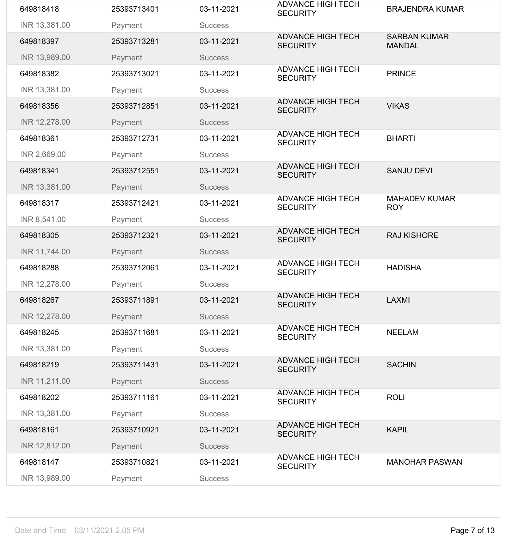| 649818418     | 25393713401 | 03-11-2021     | <b>ADVANCE HIGH TECH</b><br><b>SECURITY</b> | <b>BRAJENDRA KUMAR</b>               |
|---------------|-------------|----------------|---------------------------------------------|--------------------------------------|
| INR 13,381.00 | Payment     | <b>Success</b> |                                             |                                      |
| 649818397     | 25393713281 | 03-11-2021     | <b>ADVANCE HIGH TECH</b><br><b>SECURITY</b> | <b>SARBAN KUMAR</b><br><b>MANDAL</b> |
| INR 13,989.00 | Payment     | <b>Success</b> |                                             |                                      |
| 649818382     | 25393713021 | 03-11-2021     | <b>ADVANCE HIGH TECH</b><br><b>SECURITY</b> | <b>PRINCE</b>                        |
| INR 13,381.00 | Payment     | <b>Success</b> |                                             |                                      |
| 649818356     | 25393712851 | 03-11-2021     | <b>ADVANCE HIGH TECH</b><br><b>SECURITY</b> | <b>VIKAS</b>                         |
| INR 12,278.00 | Payment     | <b>Success</b> |                                             |                                      |
| 649818361     | 25393712731 | 03-11-2021     | <b>ADVANCE HIGH TECH</b><br><b>SECURITY</b> | <b>BHARTI</b>                        |
| INR 2,669.00  | Payment     | <b>Success</b> |                                             |                                      |
| 649818341     | 25393712551 | 03-11-2021     | <b>ADVANCE HIGH TECH</b><br><b>SECURITY</b> | <b>SANJU DEVI</b>                    |
| INR 13,381.00 | Payment     | <b>Success</b> |                                             |                                      |
| 649818317     | 25393712421 | 03-11-2021     | <b>ADVANCE HIGH TECH</b><br><b>SECURITY</b> | <b>MAHADEV KUMAR</b><br><b>ROY</b>   |
| INR 8,541.00  | Payment     | <b>Success</b> |                                             |                                      |
| 649818305     | 25393712321 | 03-11-2021     | <b>ADVANCE HIGH TECH</b><br><b>SECURITY</b> | <b>RAJ KISHORE</b>                   |
| INR 11,744.00 | Payment     | <b>Success</b> |                                             |                                      |
| 649818288     | 25393712061 | 03-11-2021     | <b>ADVANCE HIGH TECH</b><br><b>SECURITY</b> | <b>HADISHA</b>                       |
| INR 12,278.00 | Payment     | <b>Success</b> |                                             |                                      |
| 649818267     | 25393711891 | 03-11-2021     | <b>ADVANCE HIGH TECH</b><br><b>SECURITY</b> | <b>LAXMI</b>                         |
| INR 12,278.00 | Payment     | <b>Success</b> |                                             |                                      |
| 649818245     | 25393711681 | 03-11-2021     | <b>ADVANCE HIGH TECH</b><br><b>SECURITY</b> | <b>NEELAM</b>                        |
| INR 13,381.00 | Payment     | <b>Success</b> |                                             |                                      |
| 649818219     | 25393711431 | 03-11-2021     | <b>ADVANCE HIGH TECH</b><br><b>SECURITY</b> | <b>SACHIN</b>                        |
| INR 11,211.00 | Payment     | <b>Success</b> |                                             |                                      |
| 649818202     | 25393711161 | 03-11-2021     | <b>ADVANCE HIGH TECH</b><br><b>SECURITY</b> | <b>ROLI</b>                          |
| INR 13,381.00 | Payment     | <b>Success</b> |                                             |                                      |
| 649818161     | 25393710921 | 03-11-2021     | <b>ADVANCE HIGH TECH</b><br><b>SECURITY</b> | <b>KAPIL</b>                         |
| INR 12,812.00 | Payment     | <b>Success</b> |                                             |                                      |
| 649818147     | 25393710821 | 03-11-2021     | <b>ADVANCE HIGH TECH</b><br><b>SECURITY</b> | <b>MANOHAR PASWAN</b>                |
| INR 13,989.00 | Payment     | <b>Success</b> |                                             |                                      |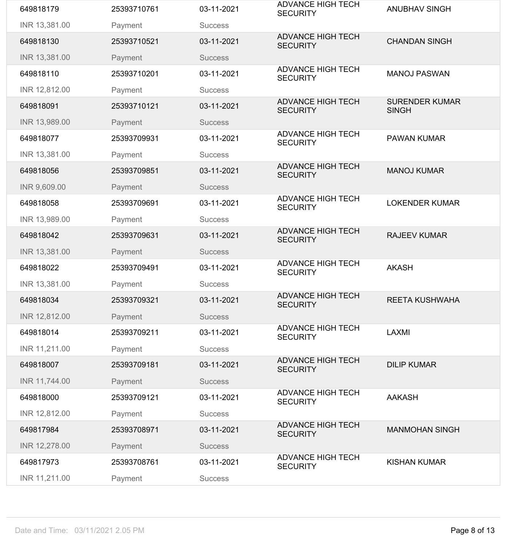| 649818179     | 25393710761 | 03-11-2021     | <b>ADVANCE HIGH TECH</b><br><b>SECURITY</b> | <b>ANUBHAV SINGH</b>                  |
|---------------|-------------|----------------|---------------------------------------------|---------------------------------------|
| INR 13,381.00 | Payment     | <b>Success</b> |                                             |                                       |
| 649818130     | 25393710521 | 03-11-2021     | <b>ADVANCE HIGH TECH</b><br><b>SECURITY</b> | <b>CHANDAN SINGH</b>                  |
| INR 13,381.00 | Payment     | <b>Success</b> |                                             |                                       |
| 649818110     | 25393710201 | 03-11-2021     | <b>ADVANCE HIGH TECH</b><br><b>SECURITY</b> | <b>MANOJ PASWAN</b>                   |
| INR 12,812.00 | Payment     | <b>Success</b> |                                             |                                       |
| 649818091     | 25393710121 | 03-11-2021     | <b>ADVANCE HIGH TECH</b><br><b>SECURITY</b> | <b>SURENDER KUMAR</b><br><b>SINGH</b> |
| INR 13,989.00 | Payment     | <b>Success</b> |                                             |                                       |
| 649818077     | 25393709931 | 03-11-2021     | <b>ADVANCE HIGH TECH</b><br><b>SECURITY</b> | <b>PAWAN KUMAR</b>                    |
| INR 13,381.00 | Payment     | <b>Success</b> |                                             |                                       |
| 649818056     | 25393709851 | 03-11-2021     | <b>ADVANCE HIGH TECH</b><br><b>SECURITY</b> | <b>MANOJ KUMAR</b>                    |
| INR 9,609.00  | Payment     | <b>Success</b> |                                             |                                       |
| 649818058     | 25393709691 | 03-11-2021     | <b>ADVANCE HIGH TECH</b><br><b>SECURITY</b> | <b>LOKENDER KUMAR</b>                 |
| INR 13,989.00 | Payment     | <b>Success</b> |                                             |                                       |
| 649818042     | 25393709631 | 03-11-2021     | <b>ADVANCE HIGH TECH</b><br><b>SECURITY</b> | <b>RAJEEV KUMAR</b>                   |
| INR 13,381.00 | Payment     | <b>Success</b> |                                             |                                       |
| 649818022     | 25393709491 | 03-11-2021     | <b>ADVANCE HIGH TECH</b><br><b>SECURITY</b> | <b>AKASH</b>                          |
| INR 13,381.00 | Payment     | <b>Success</b> |                                             |                                       |
| 649818034     | 25393709321 | 03-11-2021     | <b>ADVANCE HIGH TECH</b><br><b>SECURITY</b> | <b>REETA KUSHWAHA</b>                 |
| INR 12,812.00 | Payment     | <b>Success</b> |                                             |                                       |
| 649818014     | 25393709211 | 03-11-2021     | <b>ADVANCE HIGH TECH</b><br><b>SECURITY</b> | <b>LAXMI</b>                          |
| INR 11,211.00 | Payment     | <b>Success</b> |                                             |                                       |
| 649818007     | 25393709181 | 03-11-2021     | <b>ADVANCE HIGH TECH</b><br><b>SECURITY</b> | <b>DILIP KUMAR</b>                    |
| INR 11,744.00 | Payment     | <b>Success</b> |                                             |                                       |
| 649818000     | 25393709121 | 03-11-2021     | <b>ADVANCE HIGH TECH</b><br><b>SECURITY</b> | <b>AAKASH</b>                         |
| INR 12,812.00 | Payment     | <b>Success</b> |                                             |                                       |
| 649817984     | 25393708971 | 03-11-2021     | <b>ADVANCE HIGH TECH</b><br><b>SECURITY</b> | <b>MANMOHAN SINGH</b>                 |
| INR 12,278.00 | Payment     | <b>Success</b> |                                             |                                       |
| 649817973     | 25393708761 | 03-11-2021     | <b>ADVANCE HIGH TECH</b><br><b>SECURITY</b> | <b>KISHAN KUMAR</b>                   |
| INR 11,211.00 | Payment     | <b>Success</b> |                                             |                                       |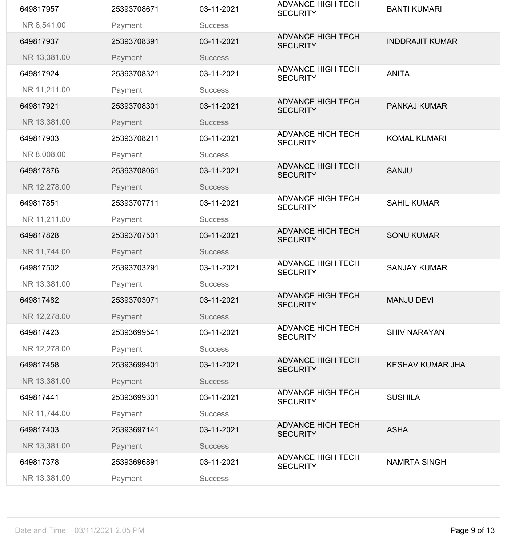| 649817957     | 25393708671 | 03-11-2021     | <b>ADVANCE HIGH TECH</b><br><b>SECURITY</b> | <b>BANTI KUMARI</b>     |
|---------------|-------------|----------------|---------------------------------------------|-------------------------|
| INR 8,541.00  | Payment     | <b>Success</b> |                                             |                         |
| 649817937     | 25393708391 | 03-11-2021     | <b>ADVANCE HIGH TECH</b><br><b>SECURITY</b> | <b>INDDRAJIT KUMAR</b>  |
| INR 13,381.00 | Payment     | <b>Success</b> |                                             |                         |
| 649817924     | 25393708321 | 03-11-2021     | <b>ADVANCE HIGH TECH</b><br><b>SECURITY</b> | <b>ANITA</b>            |
| INR 11,211.00 | Payment     | <b>Success</b> |                                             |                         |
| 649817921     | 25393708301 | 03-11-2021     | <b>ADVANCE HIGH TECH</b><br><b>SECURITY</b> | <b>PANKAJ KUMAR</b>     |
| INR 13,381.00 | Payment     | <b>Success</b> |                                             |                         |
| 649817903     | 25393708211 | 03-11-2021     | <b>ADVANCE HIGH TECH</b><br><b>SECURITY</b> | <b>KOMAL KUMARI</b>     |
| INR 8,008.00  | Payment     | <b>Success</b> |                                             |                         |
| 649817876     | 25393708061 | 03-11-2021     | <b>ADVANCE HIGH TECH</b><br><b>SECURITY</b> | <b>SANJU</b>            |
| INR 12,278.00 | Payment     | <b>Success</b> |                                             |                         |
| 649817851     | 25393707711 | 03-11-2021     | <b>ADVANCE HIGH TECH</b><br><b>SECURITY</b> | <b>SAHIL KUMAR</b>      |
| INR 11,211.00 | Payment     | <b>Success</b> |                                             |                         |
| 649817828     | 25393707501 | 03-11-2021     | <b>ADVANCE HIGH TECH</b><br><b>SECURITY</b> | <b>SONU KUMAR</b>       |
| INR 11,744.00 | Payment     | <b>Success</b> |                                             |                         |
| 649817502     | 25393703291 | 03-11-2021     | <b>ADVANCE HIGH TECH</b><br><b>SECURITY</b> | <b>SANJAY KUMAR</b>     |
| INR 13,381.00 | Payment     | <b>Success</b> |                                             |                         |
| 649817482     | 25393703071 | 03-11-2021     | <b>ADVANCE HIGH TECH</b><br><b>SECURITY</b> | <b>MANJU DEVI</b>       |
| INR 12,278.00 | Payment     | <b>Success</b> |                                             |                         |
| 649817423     | 25393699541 | 03-11-2021     | <b>ADVANCE HIGH TECH</b><br><b>SECURITY</b> | <b>SHIV NARAYAN</b>     |
| INR 12,278.00 | Payment     | <b>Success</b> |                                             |                         |
| 649817458     | 25393699401 | 03-11-2021     | <b>ADVANCE HIGH TECH</b><br><b>SECURITY</b> | <b>KESHAV KUMAR JHA</b> |
| INR 13,381.00 | Payment     | <b>Success</b> |                                             |                         |
| 649817441     | 25393699301 | 03-11-2021     | <b>ADVANCE HIGH TECH</b><br><b>SECURITY</b> | <b>SUSHILA</b>          |
| INR 11,744.00 | Payment     | <b>Success</b> |                                             |                         |
| 649817403     | 25393697141 | 03-11-2021     | <b>ADVANCE HIGH TECH</b><br><b>SECURITY</b> | <b>ASHA</b>             |
| INR 13,381.00 | Payment     | <b>Success</b> |                                             |                         |
| 649817378     | 25393696891 | 03-11-2021     | <b>ADVANCE HIGH TECH</b><br><b>SECURITY</b> | <b>NAMRTA SINGH</b>     |
| INR 13,381.00 | Payment     | <b>Success</b> |                                             |                         |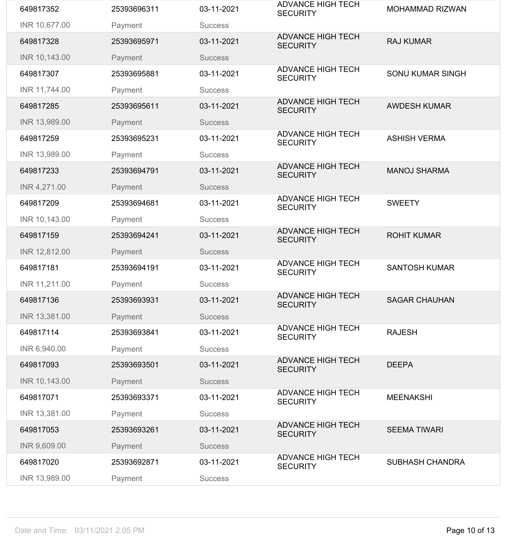| 649817352     | 25393696311 | 03-11-2021     | <b>ADVANCE HIGH TECH</b><br><b>SECURITY</b> | <b>MOHAMMAD RIZWAN</b>  |
|---------------|-------------|----------------|---------------------------------------------|-------------------------|
| INR 10,677.00 | Payment     | <b>Success</b> |                                             |                         |
| 649817328     | 25393695971 | 03-11-2021     | <b>ADVANCE HIGH TECH</b><br><b>SECURITY</b> | <b>RAJ KUMAR</b>        |
| INR 10,143.00 | Payment     | <b>Success</b> |                                             |                         |
| 649817307     | 25393695881 | 03-11-2021     | <b>ADVANCE HIGH TECH</b><br><b>SECURITY</b> | <b>SONU KUMAR SINGH</b> |
| INR 11,744.00 | Payment     | <b>Success</b> |                                             |                         |
| 649817285     | 25393695611 | 03-11-2021     | <b>ADVANCE HIGH TECH</b><br><b>SECURITY</b> | <b>AWDESH KUMAR</b>     |
| INR 13,989.00 | Payment     | <b>Success</b> |                                             |                         |
| 649817259     | 25393695231 | 03-11-2021     | <b>ADVANCE HIGH TECH</b><br><b>SECURITY</b> | <b>ASHISH VERMA</b>     |
| INR 13,989.00 | Payment     | <b>Success</b> |                                             |                         |
| 649817233     | 25393694791 | 03-11-2021     | <b>ADVANCE HIGH TECH</b><br><b>SECURITY</b> | <b>MANOJ SHARMA</b>     |
| INR 4,271.00  | Payment     | <b>Success</b> |                                             |                         |
| 649817209     | 25393694681 | 03-11-2021     | <b>ADVANCE HIGH TECH</b><br><b>SECURITY</b> | <b>SWEETY</b>           |
| INR 10,143.00 | Payment     | <b>Success</b> |                                             |                         |
| 649817159     | 25393694241 | 03-11-2021     | <b>ADVANCE HIGH TECH</b><br><b>SECURITY</b> | <b>ROHIT KUMAR</b>      |
| INR 12,812.00 | Payment     | <b>Success</b> |                                             |                         |
| 649817181     | 25393694191 | 03-11-2021     | <b>ADVANCE HIGH TECH</b><br><b>SECURITY</b> | <b>SANTOSH KUMAR</b>    |
| INR 11,211.00 | Payment     | <b>Success</b> |                                             |                         |
| 649817136     | 25393693931 | 03-11-2021     | <b>ADVANCE HIGH TECH</b><br><b>SECURITY</b> | <b>SAGAR CHAUHAN</b>    |
| INR 13,381.00 | Payment     | <b>Success</b> |                                             |                         |
| 649817114     | 25393693841 | 03-11-2021     | <b>ADVANCE HIGH TECH</b><br><b>SECURITY</b> | <b>RAJESH</b>           |
| INR 6,940.00  | Payment     | <b>Success</b> |                                             |                         |
| 649817093     | 25393693501 | 03-11-2021     | <b>ADVANCE HIGH TECH</b><br><b>SECURITY</b> | <b>DEEPA</b>            |
| INR 10,143.00 | Payment     | <b>Success</b> |                                             |                         |
| 649817071     | 25393693371 | 03-11-2021     | <b>ADVANCE HIGH TECH</b><br><b>SECURITY</b> | <b>MEENAKSHI</b>        |
| INR 13,381.00 | Payment     | <b>Success</b> |                                             |                         |
| 649817053     | 25393693261 | 03-11-2021     | <b>ADVANCE HIGH TECH</b><br><b>SECURITY</b> | <b>SEEMA TIWARI</b>     |
| INR 9,609.00  | Payment     | <b>Success</b> |                                             |                         |
| 649817020     | 25393692871 | 03-11-2021     | <b>ADVANCE HIGH TECH</b><br><b>SECURITY</b> | <b>SUBHASH CHANDRA</b>  |
| INR 13,989.00 | Payment     | <b>Success</b> |                                             |                         |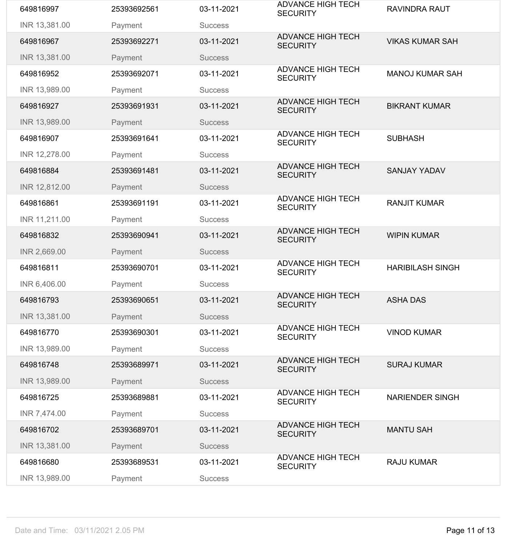| 649816997     | 25393692561 | 03-11-2021     | <b>ADVANCE HIGH TECH</b><br><b>SECURITY</b> | <b>RAVINDRA RAUT</b>    |
|---------------|-------------|----------------|---------------------------------------------|-------------------------|
| INR 13,381.00 | Payment     | <b>Success</b> |                                             |                         |
| 649816967     | 25393692271 | 03-11-2021     | <b>ADVANCE HIGH TECH</b><br><b>SECURITY</b> | <b>VIKAS KUMAR SAH</b>  |
| INR 13,381.00 | Payment     | <b>Success</b> |                                             |                         |
| 649816952     | 25393692071 | 03-11-2021     | <b>ADVANCE HIGH TECH</b><br><b>SECURITY</b> | <b>MANOJ KUMAR SAH</b>  |
| INR 13,989.00 | Payment     | <b>Success</b> |                                             |                         |
| 649816927     | 25393691931 | 03-11-2021     | <b>ADVANCE HIGH TECH</b><br><b>SECURITY</b> | <b>BIKRANT KUMAR</b>    |
| INR 13,989.00 | Payment     | <b>Success</b> |                                             |                         |
| 649816907     | 25393691641 | 03-11-2021     | <b>ADVANCE HIGH TECH</b><br><b>SECURITY</b> | <b>SUBHASH</b>          |
| INR 12,278.00 | Payment     | <b>Success</b> |                                             |                         |
| 649816884     | 25393691481 | 03-11-2021     | <b>ADVANCE HIGH TECH</b><br><b>SECURITY</b> | <b>SANJAY YADAV</b>     |
| INR 12,812.00 | Payment     | <b>Success</b> |                                             |                         |
| 649816861     | 25393691191 | 03-11-2021     | <b>ADVANCE HIGH TECH</b><br><b>SECURITY</b> | <b>RANJIT KUMAR</b>     |
| INR 11,211.00 | Payment     | <b>Success</b> |                                             |                         |
| 649816832     | 25393690941 | 03-11-2021     | <b>ADVANCE HIGH TECH</b><br><b>SECURITY</b> | <b>WIPIN KUMAR</b>      |
| INR 2,669.00  | Payment     | <b>Success</b> |                                             |                         |
| 649816811     | 25393690701 | 03-11-2021     | <b>ADVANCE HIGH TECH</b><br><b>SECURITY</b> | <b>HARIBILASH SINGH</b> |
| INR 6,406.00  | Payment     | <b>Success</b> |                                             |                         |
| 649816793     | 25393690651 | 03-11-2021     | <b>ADVANCE HIGH TECH</b><br><b>SECURITY</b> | <b>ASHA DAS</b>         |
| INR 13,381.00 | Payment     | <b>Success</b> |                                             |                         |
| 649816770     | 25393690301 | 03-11-2021     | <b>ADVANCE HIGH TECH</b><br><b>SECURITY</b> | <b>VINOD KUMAR</b>      |
| INR 13,989.00 | Payment     | <b>Success</b> |                                             |                         |
| 649816748     | 25393689971 | 03-11-2021     | <b>ADVANCE HIGH TECH</b><br><b>SECURITY</b> | <b>SURAJ KUMAR</b>      |
| INR 13,989.00 | Payment     | <b>Success</b> |                                             |                         |
| 649816725     | 25393689881 | 03-11-2021     | <b>ADVANCE HIGH TECH</b><br><b>SECURITY</b> | <b>NARIENDER SINGH</b>  |
| INR 7,474.00  | Payment     | <b>Success</b> |                                             |                         |
| 649816702     | 25393689701 | 03-11-2021     | <b>ADVANCE HIGH TECH</b><br><b>SECURITY</b> | <b>MANTU SAH</b>        |
| INR 13,381.00 | Payment     | <b>Success</b> |                                             |                         |
| 649816680     | 25393689531 | 03-11-2021     | <b>ADVANCE HIGH TECH</b><br><b>SECURITY</b> | <b>RAJU KUMAR</b>       |
| INR 13,989.00 | Payment     | <b>Success</b> |                                             |                         |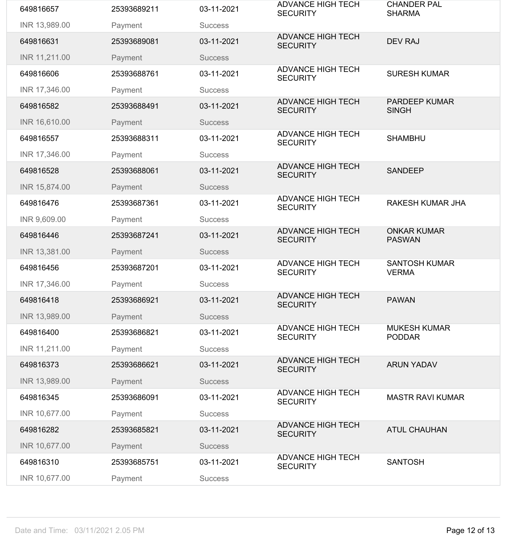| 649816657     | 25393689211 | 03-11-2021     | <b>ADVANCE HIGH TECH</b><br><b>SECURITY</b> | <b>CHANDER PAL</b><br><b>SHARMA</b>  |
|---------------|-------------|----------------|---------------------------------------------|--------------------------------------|
| INR 13,989.00 | Payment     | <b>Success</b> |                                             |                                      |
| 649816631     | 25393689081 | 03-11-2021     | <b>ADVANCE HIGH TECH</b><br><b>SECURITY</b> | <b>DEV RAJ</b>                       |
| INR 11,211.00 | Payment     | <b>Success</b> |                                             |                                      |
| 649816606     | 25393688761 | 03-11-2021     | <b>ADVANCE HIGH TECH</b><br><b>SECURITY</b> | <b>SURESH KUMAR</b>                  |
| INR 17,346.00 | Payment     | <b>Success</b> |                                             |                                      |
| 649816582     | 25393688491 | 03-11-2021     | <b>ADVANCE HIGH TECH</b><br><b>SECURITY</b> | <b>PARDEEP KUMAR</b><br><b>SINGH</b> |
| INR 16,610.00 | Payment     | <b>Success</b> |                                             |                                      |
| 649816557     | 25393688311 | 03-11-2021     | <b>ADVANCE HIGH TECH</b><br><b>SECURITY</b> | <b>SHAMBHU</b>                       |
| INR 17,346.00 | Payment     | <b>Success</b> |                                             |                                      |
| 649816528     | 25393688061 | 03-11-2021     | <b>ADVANCE HIGH TECH</b><br><b>SECURITY</b> | <b>SANDEEP</b>                       |
| INR 15,874.00 | Payment     | <b>Success</b> |                                             |                                      |
| 649816476     | 25393687361 | 03-11-2021     | <b>ADVANCE HIGH TECH</b><br><b>SECURITY</b> | <b>RAKESH KUMAR JHA</b>              |
| INR 9,609.00  | Payment     | <b>Success</b> |                                             |                                      |
| 649816446     | 25393687241 | 03-11-2021     | <b>ADVANCE HIGH TECH</b><br><b>SECURITY</b> | <b>ONKAR KUMAR</b><br><b>PASWAN</b>  |
| INR 13,381.00 | Payment     | <b>Success</b> |                                             |                                      |
| 649816456     | 25393687201 | 03-11-2021     | <b>ADVANCE HIGH TECH</b><br><b>SECURITY</b> | <b>SANTOSH KUMAR</b><br><b>VERMA</b> |
| INR 17,346.00 | Payment     | <b>Success</b> |                                             |                                      |
| 649816418     | 25393686921 | 03-11-2021     | <b>ADVANCE HIGH TECH</b><br><b>SECURITY</b> | <b>PAWAN</b>                         |
| INR 13,989.00 | Payment     | <b>Success</b> |                                             |                                      |
| 649816400     | 25393686821 | 03-11-2021     | <b>ADVANCE HIGH TECH</b><br><b>SECURITY</b> | <b>MUKESH KUMAR</b><br><b>PODDAR</b> |
| INR 11,211.00 | Payment     | <b>Success</b> |                                             |                                      |
| 649816373     | 25393686621 | 03-11-2021     | <b>ADVANCE HIGH TECH</b><br><b>SECURITY</b> | <b>ARUN YADAV</b>                    |
| INR 13,989.00 | Payment     | <b>Success</b> |                                             |                                      |
| 649816345     | 25393686091 | 03-11-2021     | <b>ADVANCE HIGH TECH</b><br><b>SECURITY</b> | <b>MASTR RAVI KUMAR</b>              |
| INR 10,677.00 | Payment     | <b>Success</b> |                                             |                                      |
| 649816282     | 25393685821 | 03-11-2021     | <b>ADVANCE HIGH TECH</b><br><b>SECURITY</b> | <b>ATUL CHAUHAN</b>                  |
| INR 10,677.00 | Payment     | <b>Success</b> |                                             |                                      |
| 649816310     | 25393685751 | 03-11-2021     | <b>ADVANCE HIGH TECH</b><br><b>SECURITY</b> | <b>SANTOSH</b>                       |
| INR 10,677.00 | Payment     | <b>Success</b> |                                             |                                      |